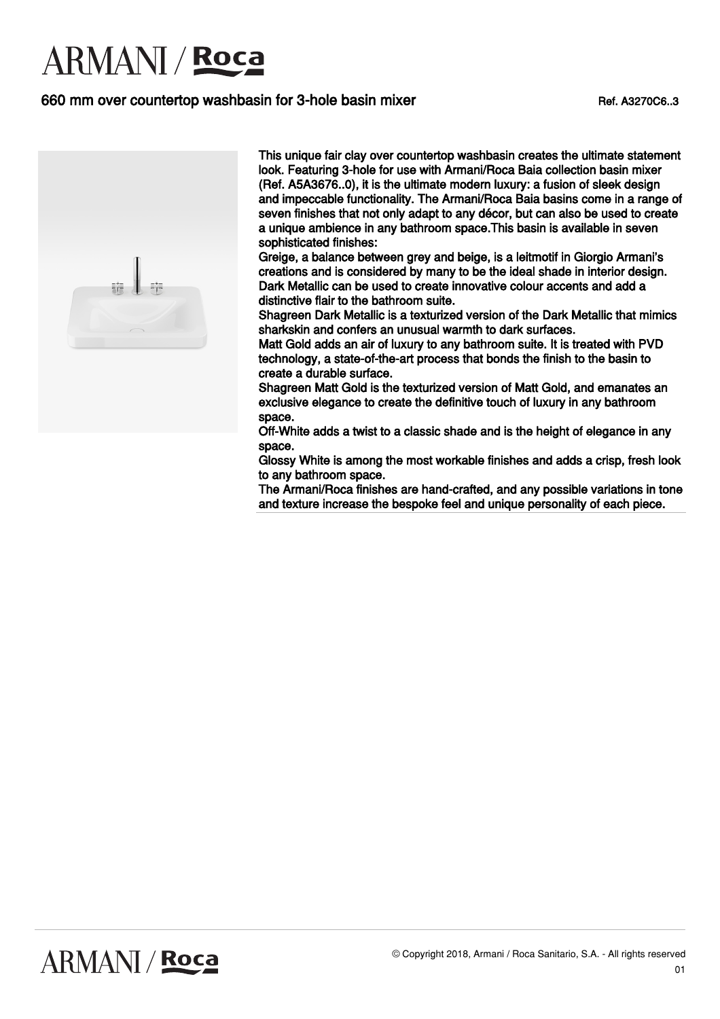### 660 mm over countertop washbasin for 3-hole basin mixer Ref. A3270C6..3



This unique fair clay over countertop washbasin creates the ultimate statement look. Featuring 3-hole for use with Armani/Roca Baia collection basin mixer (Ref. A5A3676..0), it is the ultimate modern luxury: a fusion of sleek design and impeccable functionality. The Armani/Roca Baia basins come in a range of seven finishes that not only adapt to any décor, but can also be used to create a unique ambience in any bathroom space.This basin is available in seven sophisticated finishes:

Greige, a balance between grey and beige, is a leitmotif in Giorgio Armani's creations and is considered by many to be the ideal shade in interior design. Dark Metallic can be used to create innovative colour accents and add a distinctive flair to the bathroom suite.

Shagreen Dark Metallic is a texturized version of the Dark Metallic that mimics sharkskin and confers an unusual warmth to dark surfaces.

Matt Gold adds an air of luxury to any bathroom suite. It is treated with PVD technology, a state-of-the-art process that bonds the finish to the basin to create a durable surface.

Shagreen Matt Gold is the texturized version of Matt Gold, and emanates an exclusive elegance to create the definitive touch of luxury in any bathroom space.

Off-White adds a twist to a classic shade and is the height of elegance in any space.

Glossy White is among the most workable finishes and adds a crisp, fresh look to any bathroom space.

The Armani/Roca finishes are hand-crafted, and any possible variations in tone and texture increase the bespoke feel and unique personality of each piece.

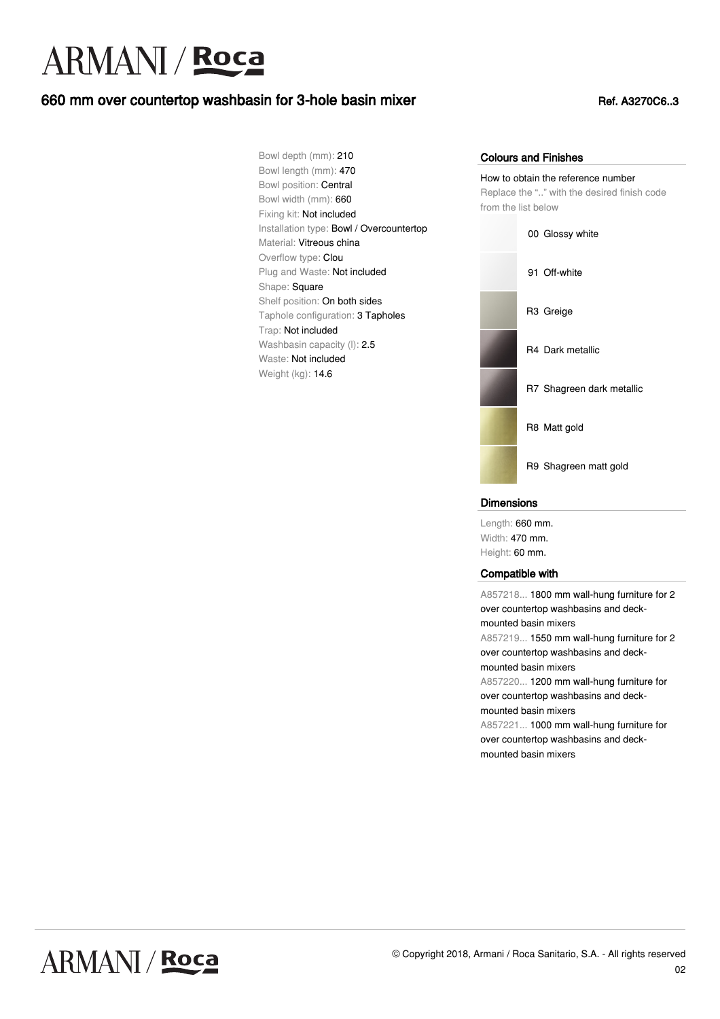### 660 mm over countertop washbasin for 3-hole basin mixer Ref. A3270C6..3

Bowl depth (mm): 210 Bowl length (mm): 470 Bowl position: Central Bowl width (mm): 660 Fixing kit: Not included Installation type: Bowl / Overcountertop Material: Vitreous china Overflow type: Clou Plug and Waste: Not included Shape: Square Shelf position: On both sides Taphole configuration: 3 Tapholes Trap: Not included Washbasin capacity (I): 2.5 Waste: Not included Weight (kg): 14.6

#### Colours and Finishes

How to obtain the reference number Replace the ".." with the desired finish code from the list below



#### **Dimensions**

Length: 660 mm. Width: 470 mm. Height: 60 mm.

#### Compatible with

A857218... 1800 mm wall-hung furniture for 2 over countertop washbasins and deckmounted basin mixers A857219... 1550 mm wall-hung furniture for 2 over countertop washbasins and deckmounted basin mixers A857220... 1200 mm wall-hung furniture for over countertop washbasins and deckmounted basin mixers A857221... 1000 mm wall-hung furniture for over countertop washbasins and deckmounted basin mixers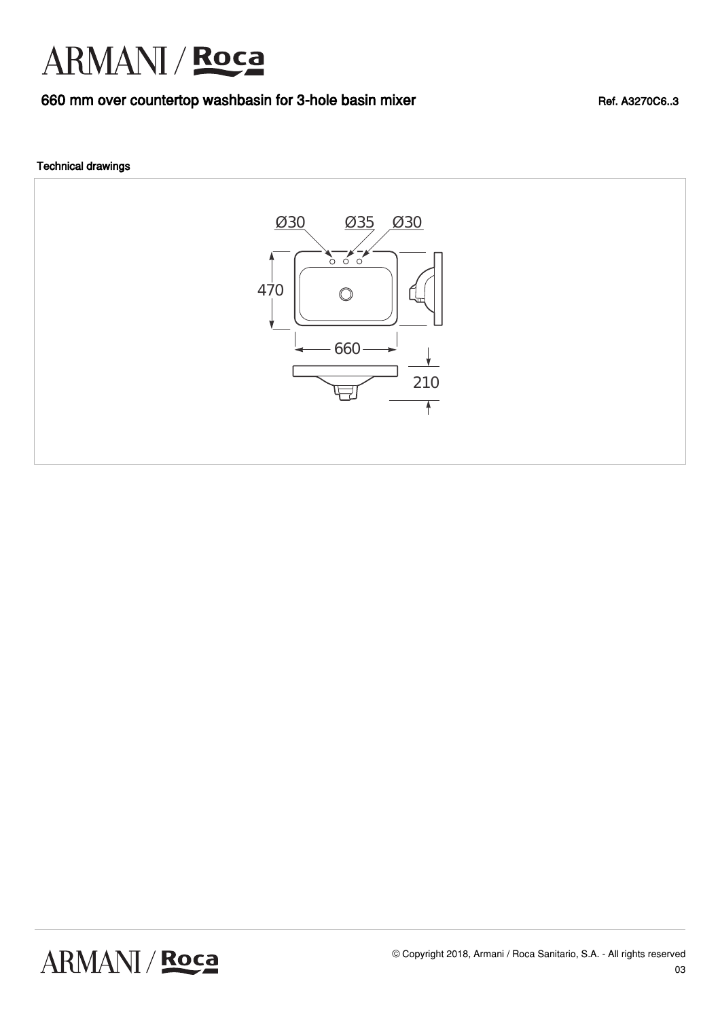### 660 mm over countertop washbasin for 3-hole basin mixer Ref. A3270C6..3

#### Technical drawings



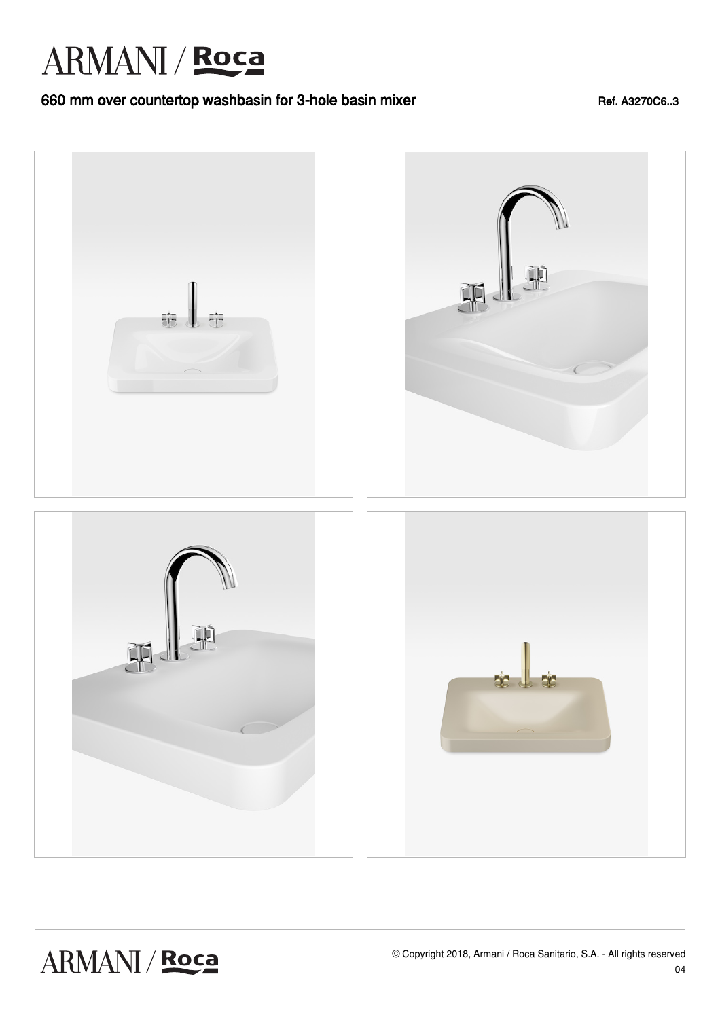### 660 mm over countertop washbasin for 3-hole basin mixer Ref. A3270C6..3

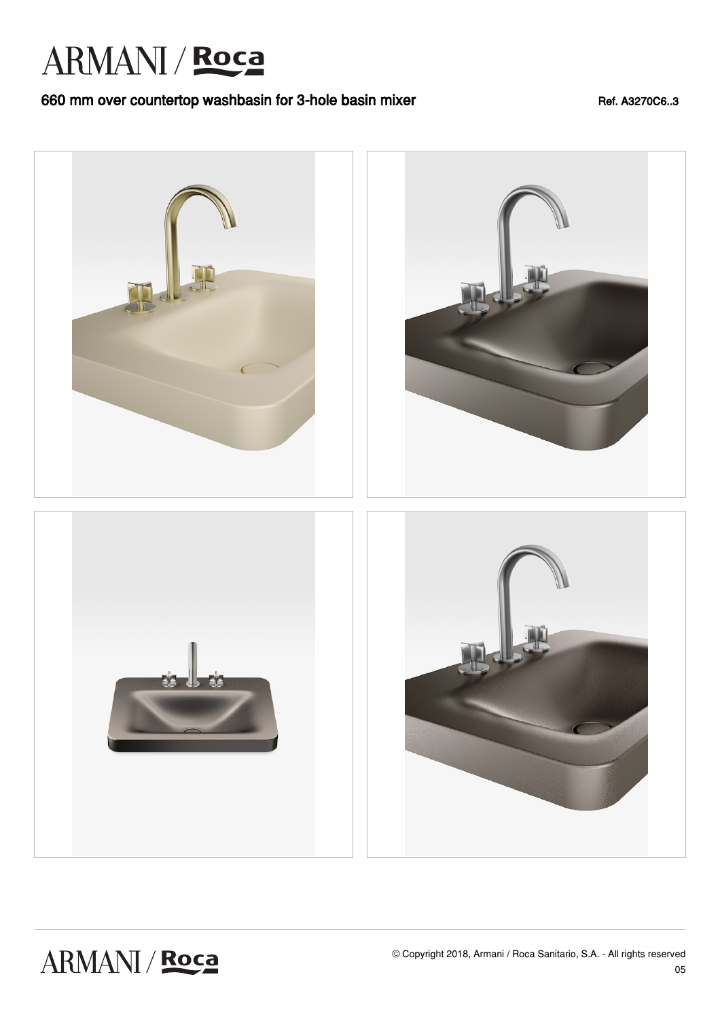### 660 mm over countertop washbasin for 3-hole basin mixer Ref. A3270C6..3

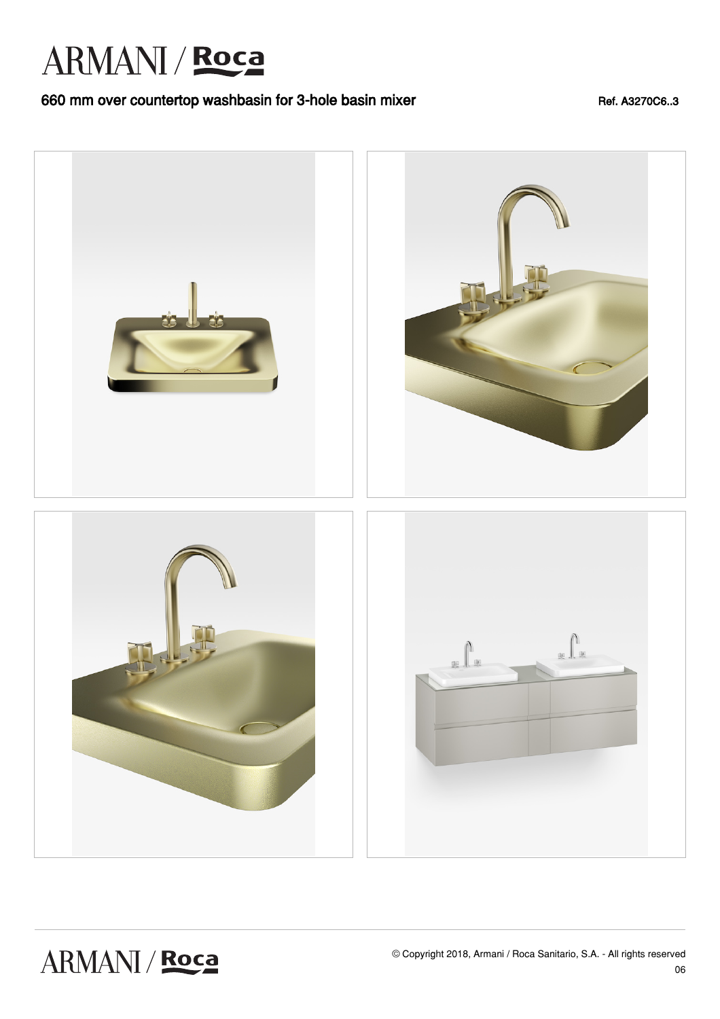### 660 mm over countertop washbasin for 3-hole basin mixer Ref. A3270C6..3

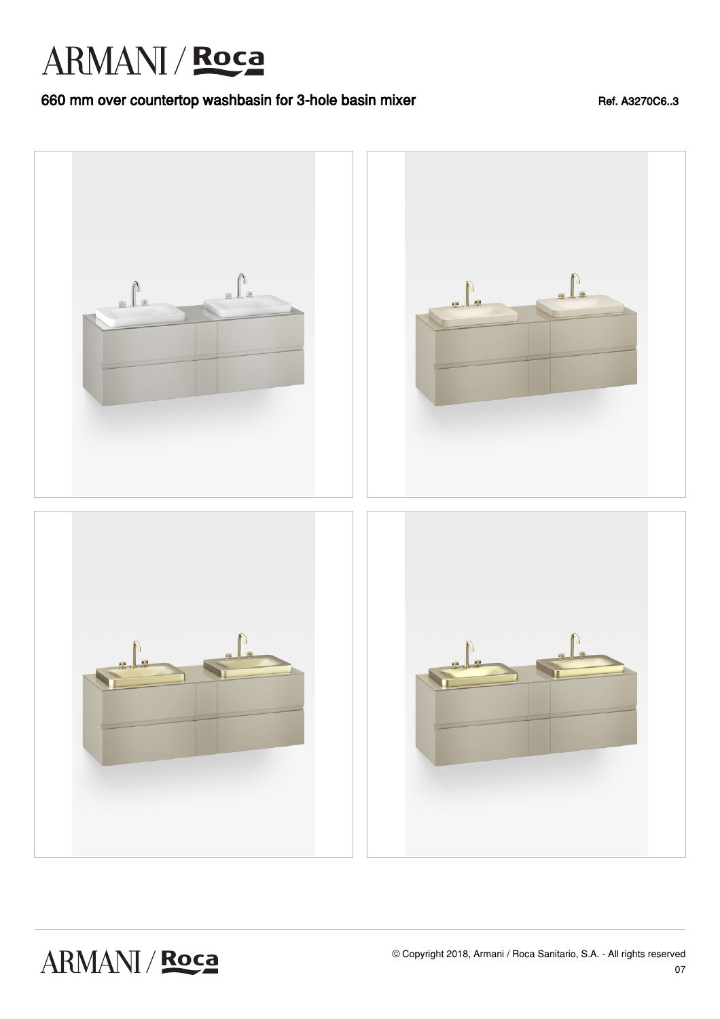### 660 mm over countertop washbasin for 3-hole basin mixer Ref. A3270C6..3

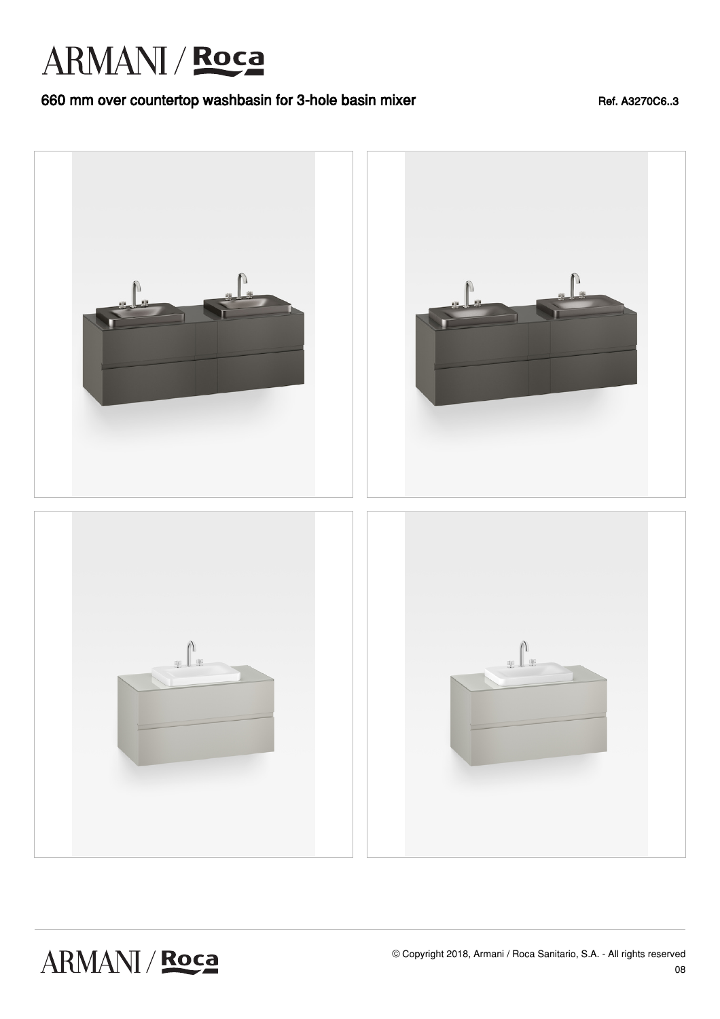### 660 mm over countertop washbasin for 3-hole basin mixer Ref. A3270C6..3

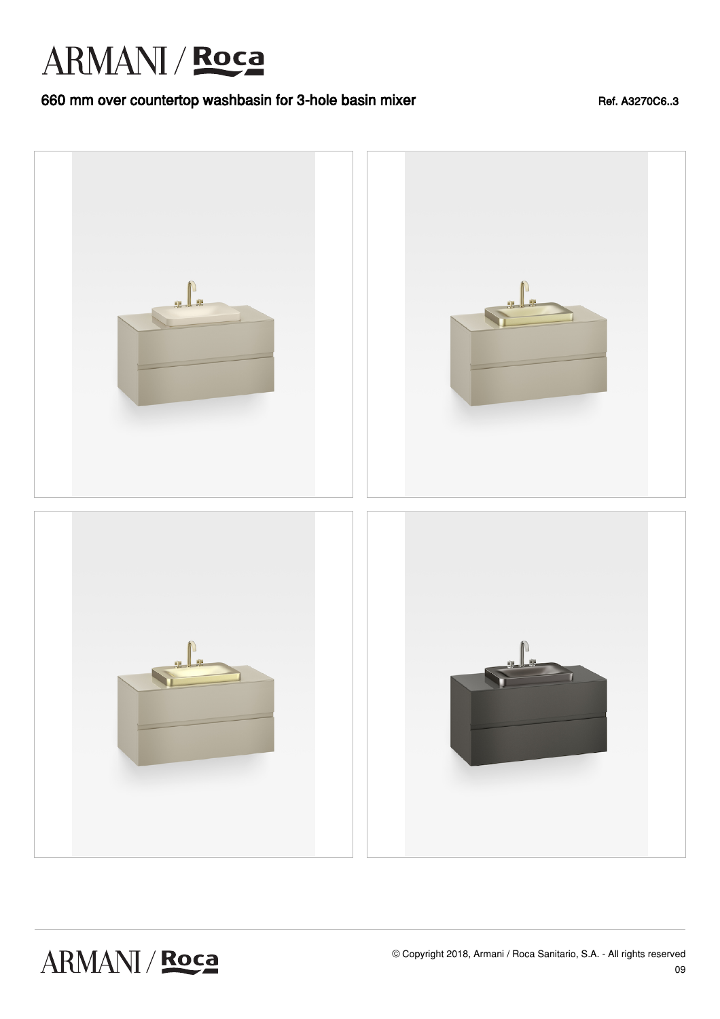### 660 mm over countertop washbasin for 3-hole basin mixer Ref. A3270C6..3